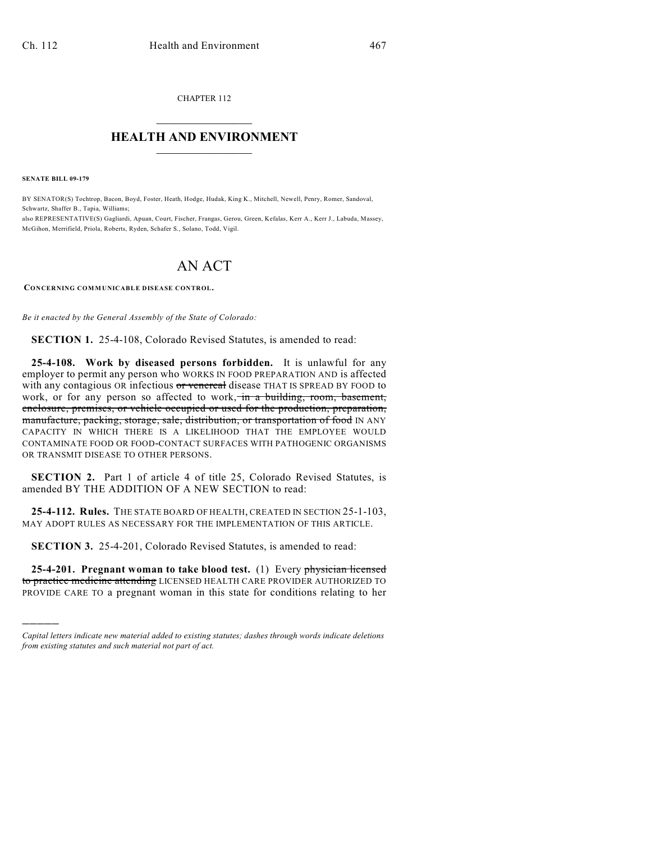CHAPTER 112  $\mathcal{L}_\text{max}$  . The set of the set of the set of the set of the set of the set of the set of the set of the set of the set of the set of the set of the set of the set of the set of the set of the set of the set of the set

## **HEALTH AND ENVIRONMENT**  $\_$

**SENATE BILL 09-179**

)))))

BY SENATOR(S) Tochtrop, Bacon, Boyd, Foster, Heath, Hodge, Hudak, King K., Mitchell, Newell, Penry, Romer, Sandoval, Schwartz, Shaffer B., Tapia, Williams; also REPRESENTATIVE(S) Gagliardi, Apuan, Court, Fischer, Frangas, Gerou, Green, Kefalas, Kerr A., Kerr J., Labuda, Massey, McGihon, Merrifield, Priola, Roberts, Ryden, Schafer S., Solano, Todd, Vigil.

## AN ACT

**CONCERNING COMMUNICABLE DISEASE CONTROL.**

*Be it enacted by the General Assembly of the State of Colorado:*

**SECTION 1.** 25-4-108, Colorado Revised Statutes, is amended to read:

**25-4-108. Work by diseased persons forbidden.** It is unlawful for any employer to permit any person who WORKS IN FOOD PREPARATION AND is affected with any contagious OR infectious or venereal disease THAT IS SPREAD BY FOOD to work, or for any person so affected to work, in a building, room, basement, enclosure, premises, or vehicle occupied or used for the production, preparation, manufacture, packing, storage, sale, distribution, or transportation of food IN ANY CAPACITY IN WHICH THERE IS A LIKELIHOOD THAT THE EMPLOYEE WOULD CONTAMINATE FOOD OR FOOD-CONTACT SURFACES WITH PATHOGENIC ORGANISMS OR TRANSMIT DISEASE TO OTHER PERSONS.

**SECTION 2.** Part 1 of article 4 of title 25, Colorado Revised Statutes, is amended BY THE ADDITION OF A NEW SECTION to read:

**25-4-112. Rules.** THE STATE BOARD OF HEALTH, CREATED IN SECTION 25-1-103, MAY ADOPT RULES AS NECESSARY FOR THE IMPLEMENTATION OF THIS ARTICLE.

**SECTION 3.** 25-4-201, Colorado Revised Statutes, is amended to read:

**25-4-201. Pregnant woman to take blood test.** (1) Every physician licensed to practice medicine attending LICENSED HEALTH CARE PROVIDER AUTHORIZED TO PROVIDE CARE TO a pregnant woman in this state for conditions relating to her

*Capital letters indicate new material added to existing statutes; dashes through words indicate deletions from existing statutes and such material not part of act.*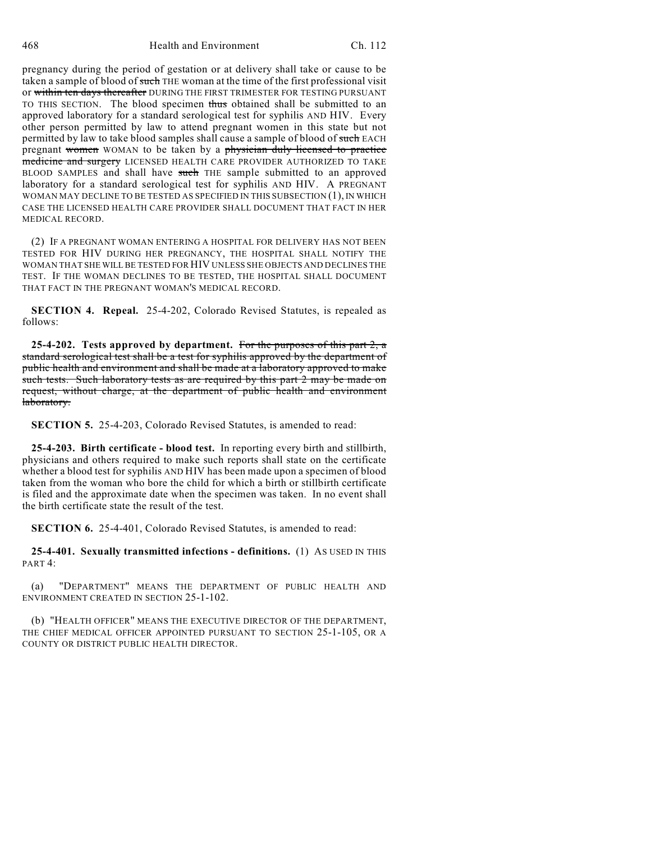pregnancy during the period of gestation or at delivery shall take or cause to be taken a sample of blood of such THE woman at the time of the first professional visit or within ten days thereafter DURING THE FIRST TRIMESTER FOR TESTING PURSUANT TO THIS SECTION. The blood specimen thus obtained shall be submitted to an approved laboratory for a standard serological test for syphilis AND HIV. Every other person permitted by law to attend pregnant women in this state but not permitted by law to take blood samples shall cause a sample of blood of such EACH pregnant women WOMAN to be taken by a physician duly licensed to practice medicine and surgery LICENSED HEALTH CARE PROVIDER AUTHORIZED TO TAKE BLOOD SAMPLES and shall have such THE sample submitted to an approved laboratory for a standard serological test for syphilis AND HIV. A PREGNANT WOMAN MAY DECLINE TO BE TESTED AS SPECIFIED IN THIS SUBSECTION (1), IN WHICH CASE THE LICENSED HEALTH CARE PROVIDER SHALL DOCUMENT THAT FACT IN HER MEDICAL RECORD.

(2) IF A PREGNANT WOMAN ENTERING A HOSPITAL FOR DELIVERY HAS NOT BEEN TESTED FOR HIV DURING HER PREGNANCY, THE HOSPITAL SHALL NOTIFY THE WOMAN THAT SHE WILL BE TESTED FOR HIV UNLESS SHE OBJECTS AND DECLINES THE TEST. IF THE WOMAN DECLINES TO BE TESTED, THE HOSPITAL SHALL DOCUMENT THAT FACT IN THE PREGNANT WOMAN'S MEDICAL RECORD.

**SECTION 4. Repeal.** 25-4-202, Colorado Revised Statutes, is repealed as follows:

**25-4-202. Tests approved by department.** For the purposes of this part 2, a standard serological test shall be a test for syphilis approved by the department of public health and environment and shall be made at a laboratory approved to make such tests. Such laboratory tests as are required by this part 2 may be made on request, without charge, at the department of public health and environment laboratory.

**SECTION 5.** 25-4-203, Colorado Revised Statutes, is amended to read:

**25-4-203. Birth certificate - blood test.** In reporting every birth and stillbirth, physicians and others required to make such reports shall state on the certificate whether a blood test for syphilis AND HIV has been made upon a specimen of blood taken from the woman who bore the child for which a birth or stillbirth certificate is filed and the approximate date when the specimen was taken. In no event shall the birth certificate state the result of the test.

**SECTION 6.** 25-4-401, Colorado Revised Statutes, is amended to read:

**25-4-401. Sexually transmitted infections - definitions.** (1) AS USED IN THIS PART 4:

(a) "DEPARTMENT" MEANS THE DEPARTMENT OF PUBLIC HEALTH AND ENVIRONMENT CREATED IN SECTION 25-1-102.

(b) "HEALTH OFFICER" MEANS THE EXECUTIVE DIRECTOR OF THE DEPARTMENT, THE CHIEF MEDICAL OFFICER APPOINTED PURSUANT TO SECTION 25-1-105, OR A COUNTY OR DISTRICT PUBLIC HEALTH DIRECTOR.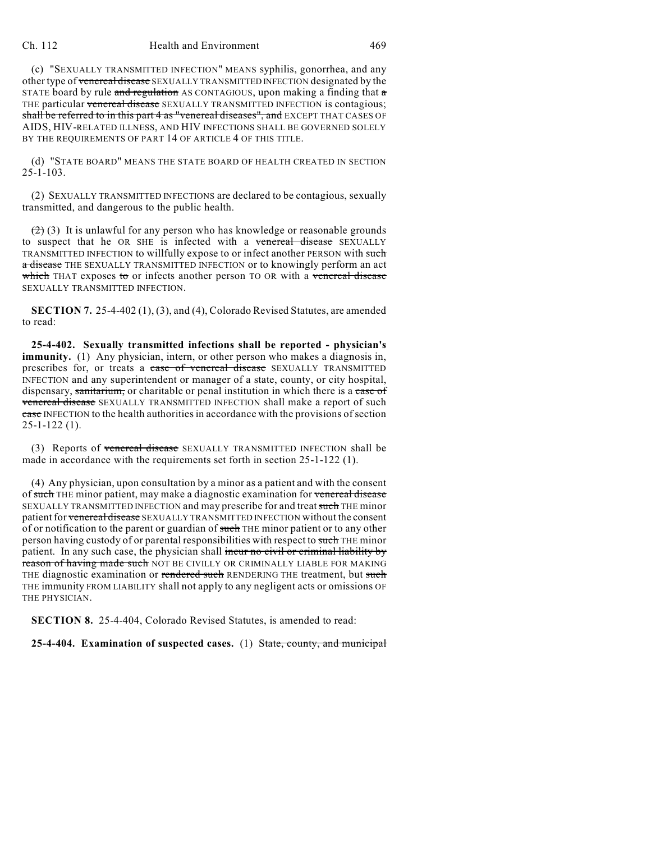## Ch. 112 Health and Environment 469

(c) "SEXUALLY TRANSMITTED INFECTION" MEANS syphilis, gonorrhea, and any other type of venereal disease SEXUALLY TRANSMITTED INFECTION designated by the STATE board by rule and regulation AS CONTAGIOUS, upon making a finding that  $\alpha$ THE particular venereal disease SEXUALLY TRANSMITTED INFECTION is contagious; shall be referred to in this part 4 as "venereal diseases", and EXCEPT THAT CASES OF AIDS, HIV-RELATED ILLNESS, AND HIV INFECTIONS SHALL BE GOVERNED SOLELY BY THE REQUIREMENTS OF PART 14 OF ARTICLE 4 OF THIS TITLE.

(d) "STATE BOARD" MEANS THE STATE BOARD OF HEALTH CREATED IN SECTION 25-1-103.

(2) SEXUALLY TRANSMITTED INFECTIONS are declared to be contagious, sexually transmitted, and dangerous to the public health.

 $(2)$  (3) It is unlawful for any person who has knowledge or reasonable grounds to suspect that he OR SHE is infected with a venereal disease SEXUALLY TRANSMITTED INFECTION to willfully expose to or infect another PERSON with such a disease THE SEXUALLY TRANSMITTED INFECTION or to knowingly perform an act which THAT exposes to or infects another person TO OR with a venereal disease SEXUALLY TRANSMITTED INFECTION.

**SECTION 7.** 25-4-402 (1), (3), and (4), Colorado Revised Statutes, are amended to read:

**25-4-402. Sexually transmitted infections shall be reported - physician's immunity.** (1) Any physician, intern, or other person who makes a diagnosis in, prescribes for, or treats a case of venereal disease SEXUALLY TRANSMITTED INFECTION and any superintendent or manager of a state, county, or city hospital, dispensary, sanitarium, or charitable or penal institution in which there is a case of venereal disease SEXUALLY TRANSMITTED INFECTION shall make a report of such case INFECTION to the health authorities in accordance with the provisions of section 25-1-122 (1).

(3) Reports of venereal disease SEXUALLY TRANSMITTED INFECTION shall be made in accordance with the requirements set forth in section 25-1-122 (1).

(4) Any physician, upon consultation by a minor as a patient and with the consent of such THE minor patient, may make a diagnostic examination for venereal disease SEXUALLY TRANSMITTED INFECTION and may prescribe for and treat such THE minor patient for venereal disease SEXUALLY TRANSMITTED INFECTION without the consent of or notification to the parent or guardian of such THE minor patient or to any other person having custody of or parental responsibilities with respect to such THE minor patient. In any such case, the physician shall incur no civil or criminal liability by reason of having made such NOT BE CIVILLY OR CRIMINALLY LIABLE FOR MAKING THE diagnostic examination or rendered such RENDERING THE treatment, but such THE immunity FROM LIABILITY shall not apply to any negligent acts or omissions OF THE PHYSICIAN.

**SECTION 8.** 25-4-404, Colorado Revised Statutes, is amended to read:

**25-4-404. Examination of suspected cases.** (1) State, county, and municipal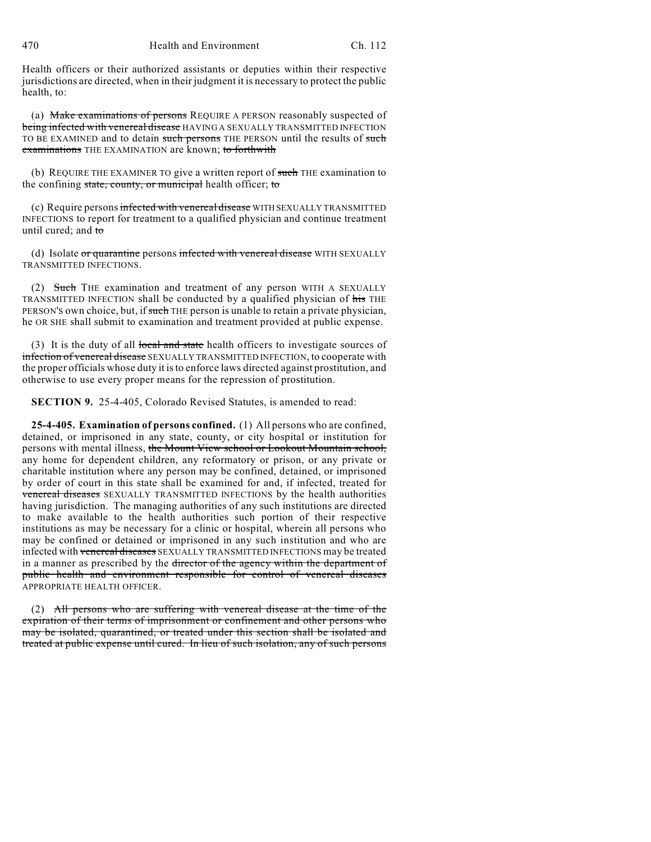Health officers or their authorized assistants or deputies within their respective jurisdictions are directed, when in their judgment it is necessary to protect the public health, to:

(a) Make examinations of persons REQUIRE A PERSON reasonably suspected of being infected with venereal disease HAVING A SEXUALLY TRANSMITTED INFECTION TO BE EXAMINED and to detain such persons THE PERSON until the results of such examinations THE EXAMINATION are known; to forthwith

(b) REQUIRE THE EXAMINER TO give a written report of such THE examination to the confining state, county, or municipal health officer; to

(c) Require persons infected with venereal disease WITH SEXUALLY TRANSMITTED INFECTIONS to report for treatment to a qualified physician and continue treatment until cured; and to

(d) Isolate or quarantine persons infected with venereal disease WITH SEXUALLY TRANSMITTED INFECTIONS.

(2) Such THE examination and treatment of any person WITH A SEXUALLY TRANSMITTED INFECTION shall be conducted by a qualified physician of his THE PERSON'S own choice, but, if such THE person is unable to retain a private physician, he OR SHE shall submit to examination and treatment provided at public expense.

(3) It is the duty of all local and state health officers to investigate sources of infection of venereal disease SEXUALLY TRANSMITTED INFECTION, to cooperate with the proper officials whose duty it is to enforce laws directed against prostitution, and otherwise to use every proper means for the repression of prostitution.

**SECTION 9.** 25-4-405, Colorado Revised Statutes, is amended to read:

**25-4-405. Examination of persons confined.** (1) All persons who are confined, detained, or imprisoned in any state, county, or city hospital or institution for persons with mental illness, the Mount View school or Lookout Mountain school, any home for dependent children, any reformatory or prison, or any private or charitable institution where any person may be confined, detained, or imprisoned by order of court in this state shall be examined for and, if infected, treated for venereal diseases SEXUALLY TRANSMITTED INFECTIONS by the health authorities having jurisdiction. The managing authorities of any such institutions are directed to make available to the health authorities such portion of their respective institutions as may be necessary for a clinic or hospital, wherein all persons who may be confined or detained or imprisoned in any such institution and who are infected with venereal diseases SEXUALLY TRANSMITTED INFECTIONS may be treated in a manner as prescribed by the director of the agency within the department of public health and environment responsible for control of venereal diseases APPROPRIATE HEALTH OFFICER.

(2) All persons who are suffering with venereal disease at the time of the expiration of their terms of imprisonment or confinement and other persons who may be isolated, quarantined, or treated under this section shall be isolated and treated at public expense until cured. In lieu of such isolation, any of such persons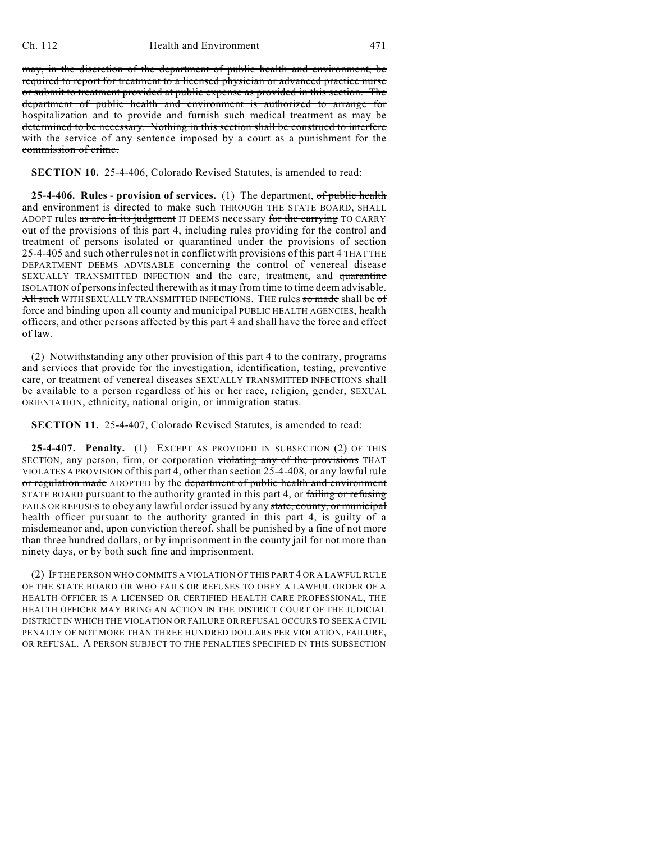may, in the discretion of the department of public health and environment, be required to report for treatment to a licensed physician or advanced practice nurse or submit to treatment provided at public expense as provided in this section. The department of public health and environment is authorized to arrange for hospitalization and to provide and furnish such medical treatment as may be determined to be necessary. Nothing in this section shall be construed to interfere with the service of any sentence imposed by a court as a punishment for the commission of crime.

## **SECTION 10.** 25-4-406, Colorado Revised Statutes, is amended to read:

**25-4-406. Rules - provision of services.** (1) The department, of public health and environment is directed to make such THROUGH THE STATE BOARD, SHALL ADOPT rules as are in its judgment IT DEEMS necessary for the carrying TO CARRY out of the provisions of this part 4, including rules providing for the control and treatment of persons isolated or quarantined under the provisions of section 25-4-405 and such other rules not in conflict with provisions of this part 4 THAT THE DEPARTMENT DEEMS ADVISABLE concerning the control of venereal disease SEXUALLY TRANSMITTED INFECTION and the care, treatment, and quarantine ISOLATION of persons infected therewith as it may from time to time deem advisable. All such WITH SEXUALLY TRANSMITTED INFECTIONS. THE rules so made shall be of force and binding upon all county and municipal PUBLIC HEALTH AGENCIES, health officers, and other persons affected by this part 4 and shall have the force and effect of law.

(2) Notwithstanding any other provision of this part 4 to the contrary, programs and services that provide for the investigation, identification, testing, preventive care, or treatment of venereal diseases SEXUALLY TRANSMITTED INFECTIONS shall be available to a person regardless of his or her race, religion, gender, SEXUAL ORIENTATION, ethnicity, national origin, or immigration status.

**SECTION 11.** 25-4-407, Colorado Revised Statutes, is amended to read:

**25-4-407. Penalty.** (1) EXCEPT AS PROVIDED IN SUBSECTION (2) OF THIS SECTION, any person, firm, or corporation violating any of the provisions THAT VIOLATES A PROVISION of this part 4, other than section 25-4-408, or any lawful rule or regulation made ADOPTED by the department of public health and environment STATE BOARD pursuant to the authority granted in this part 4, or failing or refusing FAILS OR REFUSES to obey any lawful order issued by any state, county, or municipal health officer pursuant to the authority granted in this part 4, is guilty of a misdemeanor and, upon conviction thereof, shall be punished by a fine of not more than three hundred dollars, or by imprisonment in the county jail for not more than ninety days, or by both such fine and imprisonment.

(2) IF THE PERSON WHO COMMITS A VIOLATION OF THIS PART 4 OR A LAWFUL RULE OF THE STATE BOARD OR WHO FAILS OR REFUSES TO OBEY A LAWFUL ORDER OF A HEALTH OFFICER IS A LICENSED OR CERTIFIED HEALTH CARE PROFESSIONAL, THE HEALTH OFFICER MAY BRING AN ACTION IN THE DISTRICT COURT OF THE JUDICIAL DISTRICT IN WHICH THE VIOLATION OR FAILURE OR REFUSAL OCCURS TO SEEK A CIVIL PENALTY OF NOT MORE THAN THREE HUNDRED DOLLARS PER VIOLATION, FAILURE, OR REFUSAL. A PERSON SUBJECT TO THE PENALTIES SPECIFIED IN THIS SUBSECTION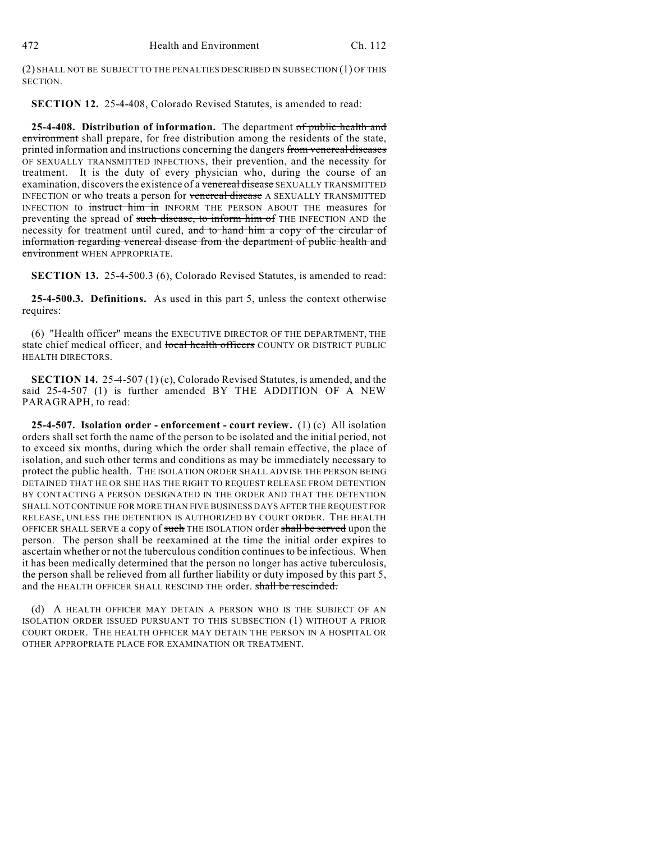(2) SHALL NOT BE SUBJECT TO THE PENALTIES DESCRIBED IN SUBSECTION (1) OF THIS SECTION.

**SECTION 12.** 25-4-408, Colorado Revised Statutes, is amended to read:

**25-4-408. Distribution of information.** The department of public health and environment shall prepare, for free distribution among the residents of the state, printed information and instructions concerning the dangers from venereal diseases OF SEXUALLY TRANSMITTED INFECTIONS, their prevention, and the necessity for treatment. It is the duty of every physician who, during the course of an examination, discovers the existence of a venereal disease SEXUALLY TRANSMITTED INFECTION or who treats a person for venereal disease A SEXUALLY TRANSMITTED INFECTION to instruct him in INFORM THE PERSON ABOUT THE measures for preventing the spread of such disease, to inform him of THE INFECTION AND the necessity for treatment until cured, and to hand him a copy of the circular of information regarding venereal disease from the department of public health and environment WHEN APPROPRIATE.

**SECTION 13.** 25-4-500.3 (6), Colorado Revised Statutes, is amended to read:

**25-4-500.3. Definitions.** As used in this part 5, unless the context otherwise requires:

(6) "Health officer" means the EXECUTIVE DIRECTOR OF THE DEPARTMENT, THE state chief medical officer, and local health officers COUNTY OR DISTRICT PUBLIC HEALTH DIRECTORS.

**SECTION 14.** 25-4-507 (1) (c), Colorado Revised Statutes, is amended, and the said 25-4-507 (1) is further amended BY THE ADDITION OF A NEW PARAGRAPH, to read:

**25-4-507. Isolation order - enforcement - court review.** (1) (c) All isolation orders shall set forth the name of the person to be isolated and the initial period, not to exceed six months, during which the order shall remain effective, the place of isolation, and such other terms and conditions as may be immediately necessary to protect the public health. THE ISOLATION ORDER SHALL ADVISE THE PERSON BEING DETAINED THAT HE OR SHE HAS THE RIGHT TO REQUEST RELEASE FROM DETENTION BY CONTACTING A PERSON DESIGNATED IN THE ORDER AND THAT THE DETENTION SHALL NOT CONTINUE FOR MORE THAN FIVE BUSINESS DAYS AFTER THE REQUEST FOR RELEASE, UNLESS THE DETENTION IS AUTHORIZED BY COURT ORDER. THE HEALTH OFFICER SHALL SERVE a copy of such THE ISOLATION order shall be served upon the person. The person shall be reexamined at the time the initial order expires to ascertain whether or not the tuberculous condition continues to be infectious. When it has been medically determined that the person no longer has active tuberculosis, the person shall be relieved from all further liability or duty imposed by this part 5, and the HEALTH OFFICER SHALL RESCIND THE order. shall be rescinded.

(d) A HEALTH OFFICER MAY DETAIN A PERSON WHO IS THE SUBJECT OF AN ISOLATION ORDER ISSUED PURSUANT TO THIS SUBSECTION (1) WITHOUT A PRIOR COURT ORDER. THE HEALTH OFFICER MAY DETAIN THE PERSON IN A HOSPITAL OR OTHER APPROPRIATE PLACE FOR EXAMINATION OR TREATMENT.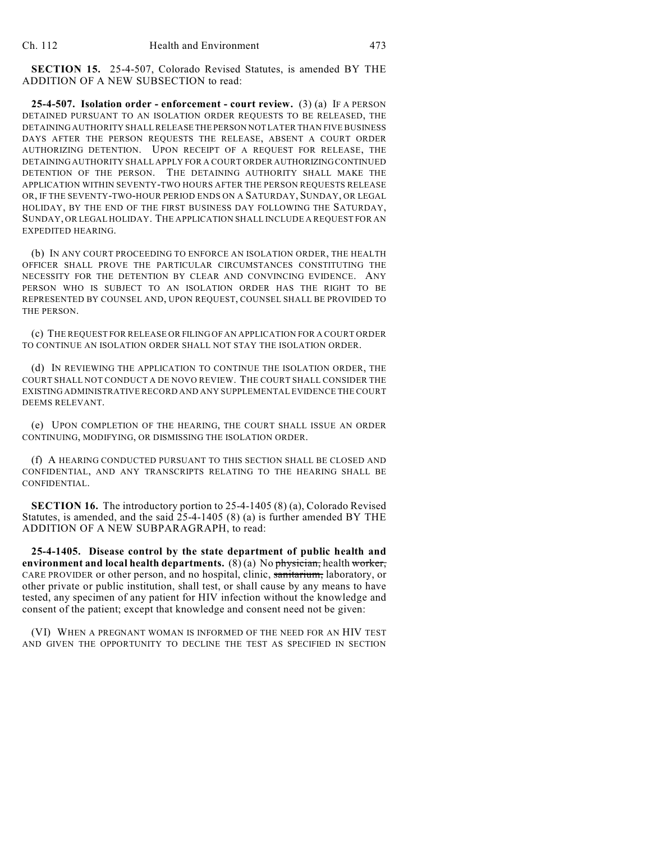**SECTION 15.** 25-4-507, Colorado Revised Statutes, is amended BY THE ADDITION OF A NEW SUBSECTION to read:

**25-4-507. Isolation order - enforcement - court review.** (3) (a) IF A PERSON DETAINED PURSUANT TO AN ISOLATION ORDER REQUESTS TO BE RELEASED, THE DETAINING AUTHORITY SHALL RELEASE THE PERSON NOT LATER THAN FIVE BUSINESS DAYS AFTER THE PERSON REQUESTS THE RELEASE, ABSENT A COURT ORDER AUTHORIZING DETENTION. UPON RECEIPT OF A REQUEST FOR RELEASE, THE DETAINING AUTHORITY SHALL APPLY FOR A COURT ORDER AUTHORIZING CONTINUED DETENTION OF THE PERSON. THE DETAINING AUTHORITY SHALL MAKE THE APPLICATION WITHIN SEVENTY-TWO HOURS AFTER THE PERSON REQUESTS RELEASE OR, IF THE SEVENTY-TWO-HOUR PERIOD ENDS ON A SATURDAY, SUNDAY, OR LEGAL HOLIDAY, BY THE END OF THE FIRST BUSINESS DAY FOLLOWING THE SATURDAY, SUNDAY, OR LEGAL HOLIDAY. THE APPLICATION SHALL INCLUDE A REQUEST FOR AN EXPEDITED HEARING.

(b) IN ANY COURT PROCEEDING TO ENFORCE AN ISOLATION ORDER, THE HEALTH OFFICER SHALL PROVE THE PARTICULAR CIRCUMSTANCES CONSTITUTING THE NECESSITY FOR THE DETENTION BY CLEAR AND CONVINCING EVIDENCE. ANY PERSON WHO IS SUBJECT TO AN ISOLATION ORDER HAS THE RIGHT TO BE REPRESENTED BY COUNSEL AND, UPON REQUEST, COUNSEL SHALL BE PROVIDED TO THE PERSON.

(c) THE REQUEST FOR RELEASE OR FILING OF AN APPLICATION FOR A COURT ORDER TO CONTINUE AN ISOLATION ORDER SHALL NOT STAY THE ISOLATION ORDER.

(d) IN REVIEWING THE APPLICATION TO CONTINUE THE ISOLATION ORDER, THE COURT SHALL NOT CONDUCT A DE NOVO REVIEW. THE COURT SHALL CONSIDER THE EXISTING ADMINISTRATIVE RECORD AND ANY SUPPLEMENTAL EVIDENCE THE COURT DEEMS RELEVANT.

(e) UPON COMPLETION OF THE HEARING, THE COURT SHALL ISSUE AN ORDER CONTINUING, MODIFYING, OR DISMISSING THE ISOLATION ORDER.

(f) A HEARING CONDUCTED PURSUANT TO THIS SECTION SHALL BE CLOSED AND CONFIDENTIAL, AND ANY TRANSCRIPTS RELATING TO THE HEARING SHALL BE CONFIDENTIAL.

**SECTION 16.** The introductory portion to 25-4-1405 (8) (a), Colorado Revised Statutes, is amended, and the said 25-4-1405 (8) (a) is further amended BY THE ADDITION OF A NEW SUBPARAGRAPH, to read:

**25-4-1405. Disease control by the state department of public health and environment and local health departments.** (8) (a) No physician, health worker, CARE PROVIDER or other person, and no hospital, clinic, sanitarium, laboratory, or other private or public institution, shall test, or shall cause by any means to have tested, any specimen of any patient for HIV infection without the knowledge and consent of the patient; except that knowledge and consent need not be given:

(VI) WHEN A PREGNANT WOMAN IS INFORMED OF THE NEED FOR AN HIV TEST AND GIVEN THE OPPORTUNITY TO DECLINE THE TEST AS SPECIFIED IN SECTION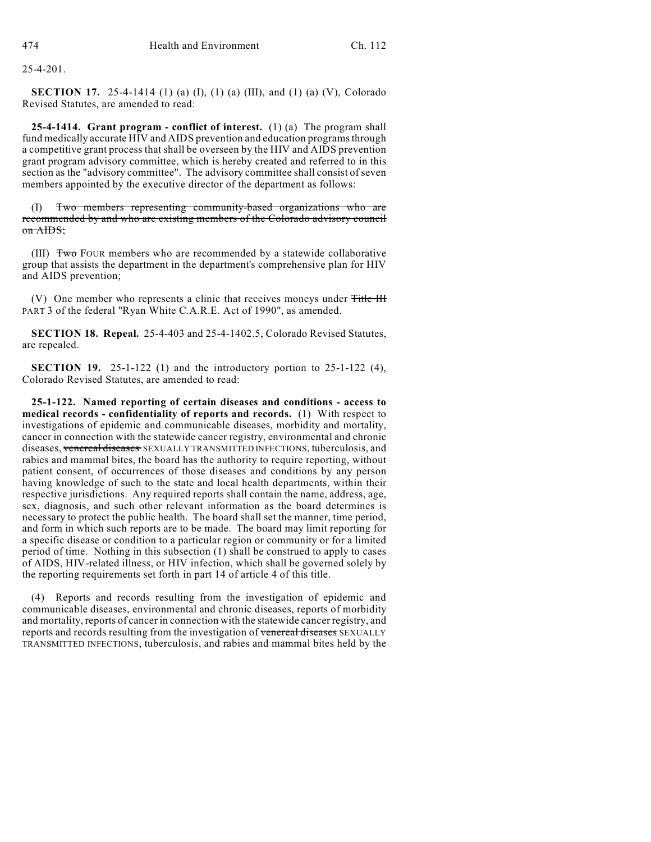25-4-201.

**SECTION 17.** 25-4-1414 (1) (a) (I), (1) (a) (III), and (1) (a) (V), Colorado Revised Statutes, are amended to read:

**25-4-1414. Grant program - conflict of interest.** (1) (a) The program shall fund medically accurate HIV and AIDS prevention and education programs through a competitive grant process that shall be overseen by the HIV and AIDS prevention grant program advisory committee, which is hereby created and referred to in this section as the "advisory committee". The advisory committee shall consist of seven members appointed by the executive director of the department as follows:

Two members representing community-based organizations who are recommended by and who are existing members of the Colorado advisory council on AIDS;

(III)  $\overline{f_{\text{w}}$  Four members who are recommended by a statewide collaborative group that assists the department in the department's comprehensive plan for HIV and AIDS prevention;

(V) One member who represents a clinic that receives moneys under Title III PART 3 of the federal "Ryan White C.A.R.E. Act of 1990", as amended.

**SECTION 18. Repeal.** 25-4-403 and 25-4-1402.5, Colorado Revised Statutes, are repealed.

**SECTION 19.** 25-1-122 (1) and the introductory portion to 25-1-122 (4), Colorado Revised Statutes, are amended to read:

**25-1-122. Named reporting of certain diseases and conditions - access to medical records - confidentiality of reports and records.** (1) With respect to investigations of epidemic and communicable diseases, morbidity and mortality, cancer in connection with the statewide cancer registry, environmental and chronic diseases, venereal diseases SEXUALLY TRANSMITTED INFECTIONS, tuberculosis, and rabies and mammal bites, the board has the authority to require reporting, without patient consent, of occurrences of those diseases and conditions by any person having knowledge of such to the state and local health departments, within their respective jurisdictions. Any required reports shall contain the name, address, age, sex, diagnosis, and such other relevant information as the board determines is necessary to protect the public health. The board shall set the manner, time period, and form in which such reports are to be made. The board may limit reporting for a specific disease or condition to a particular region or community or for a limited period of time. Nothing in this subsection (1) shall be construed to apply to cases of AIDS, HIV-related illness, or HIV infection, which shall be governed solely by the reporting requirements set forth in part 14 of article 4 of this title.

(4) Reports and records resulting from the investigation of epidemic and communicable diseases, environmental and chronic diseases, reports of morbidity and mortality, reports of cancer in connection with the statewide cancer registry, and reports and records resulting from the investigation of venereal diseases SEXUALLY TRANSMITTED INFECTIONS, tuberculosis, and rabies and mammal bites held by the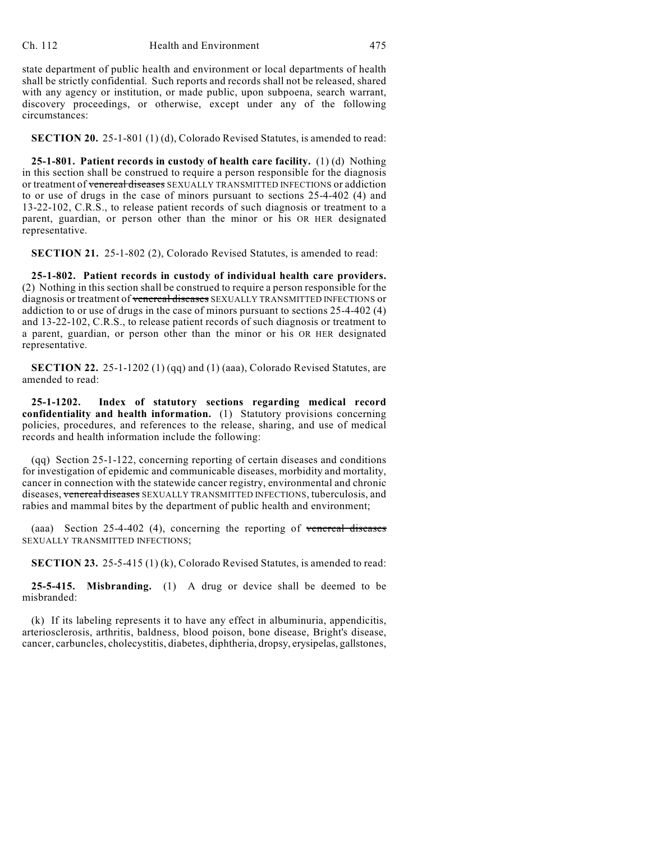state department of public health and environment or local departments of health shall be strictly confidential. Such reports and records shall not be released, shared with any agency or institution, or made public, upon subpoena, search warrant, discovery proceedings, or otherwise, except under any of the following circumstances:

**SECTION 20.** 25-1-801 (1) (d), Colorado Revised Statutes, is amended to read:

**25-1-801. Patient records in custody of health care facility.** (1) (d) Nothing in this section shall be construed to require a person responsible for the diagnosis or treatment of venereal diseases SEXUALLY TRANSMITTED INFECTIONS or addiction to or use of drugs in the case of minors pursuant to sections 25-4-402 (4) and 13-22-102, C.R.S., to release patient records of such diagnosis or treatment to a parent, guardian, or person other than the minor or his OR HER designated representative.

**SECTION 21.** 25-1-802 (2), Colorado Revised Statutes, is amended to read:

**25-1-802. Patient records in custody of individual health care providers.** (2) Nothing in this section shall be construed to require a person responsible for the diagnosis or treatment of venereal diseases SEXUALLY TRANSMITTED INFECTIONS or addiction to or use of drugs in the case of minors pursuant to sections 25-4-402 (4) and 13-22-102, C.R.S., to release patient records of such diagnosis or treatment to a parent, guardian, or person other than the minor or his OR HER designated representative.

**SECTION 22.** 25-1-1202 (1) (qq) and (1) (aaa), Colorado Revised Statutes, are amended to read:

**25-1-1202. Index of statutory sections regarding medical record confidentiality and health information.** (1) Statutory provisions concerning policies, procedures, and references to the release, sharing, and use of medical records and health information include the following:

(qq) Section 25-1-122, concerning reporting of certain diseases and conditions for investigation of epidemic and communicable diseases, morbidity and mortality, cancer in connection with the statewide cancer registry, environmental and chronic diseases, venereal diseases SEXUALLY TRANSMITTED INFECTIONS, tuberculosis, and rabies and mammal bites by the department of public health and environment;

(aaa) Section 25-4-402 (4), concerning the reporting of venereal diseases SEXUALLY TRANSMITTED INFECTIONS;

**SECTION 23.** 25-5-415 (1) (k), Colorado Revised Statutes, is amended to read:

**25-5-415. Misbranding.** (1) A drug or device shall be deemed to be misbranded:

(k) If its labeling represents it to have any effect in albuminuria, appendicitis, arteriosclerosis, arthritis, baldness, blood poison, bone disease, Bright's disease, cancer, carbuncles, cholecystitis, diabetes, diphtheria, dropsy, erysipelas, gallstones,